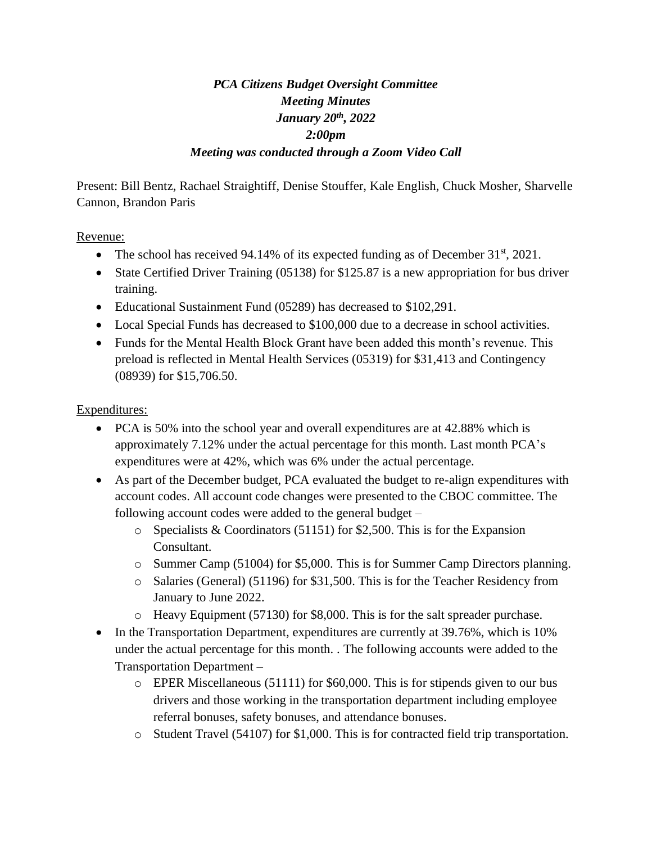## *PCA Citizens Budget Oversight Committee Meeting Minutes January 20th, 2022 2:00pm Meeting was conducted through a Zoom Video Call*

Present: Bill Bentz, Rachael Straightiff, Denise Stouffer, Kale English, Chuck Mosher, Sharvelle Cannon, Brandon Paris

## Revenue:

- The school has received 94.14% of its expected funding as of December  $31<sup>st</sup>$ , 2021.
- State Certified Driver Training (05138) for \$125.87 is a new appropriation for bus driver training.
- Educational Sustainment Fund (05289) has decreased to \$102,291.
- Local Special Funds has decreased to \$100,000 due to a decrease in school activities.
- Funds for the Mental Health Block Grant have been added this month's revenue. This preload is reflected in Mental Health Services (05319) for \$31,413 and Contingency (08939) for \$15,706.50.

## Expenditures:

- PCA is 50% into the school year and overall expenditures are at 42.88% which is approximately 7.12% under the actual percentage for this month. Last month PCA's expenditures were at 42%, which was 6% under the actual percentage.
- As part of the December budget, PCA evaluated the budget to re-align expenditures with account codes. All account code changes were presented to the CBOC committee. The following account codes were added to the general budget –
	- o Specialists & Coordinators (51151) for \$2,500. This is for the Expansion Consultant.
	- o Summer Camp (51004) for \$5,000. This is for Summer Camp Directors planning.
	- o Salaries (General) (51196) for \$31,500. This is for the Teacher Residency from January to June 2022.
	- o Heavy Equipment (57130) for \$8,000. This is for the salt spreader purchase.
- In the Transportation Department, expenditures are currently at 39.76%, which is 10% under the actual percentage for this month. . The following accounts were added to the Transportation Department –
	- o EPER Miscellaneous (51111) for \$60,000. This is for stipends given to our bus drivers and those working in the transportation department including employee referral bonuses, safety bonuses, and attendance bonuses.
	- o Student Travel (54107) for \$1,000. This is for contracted field trip transportation.